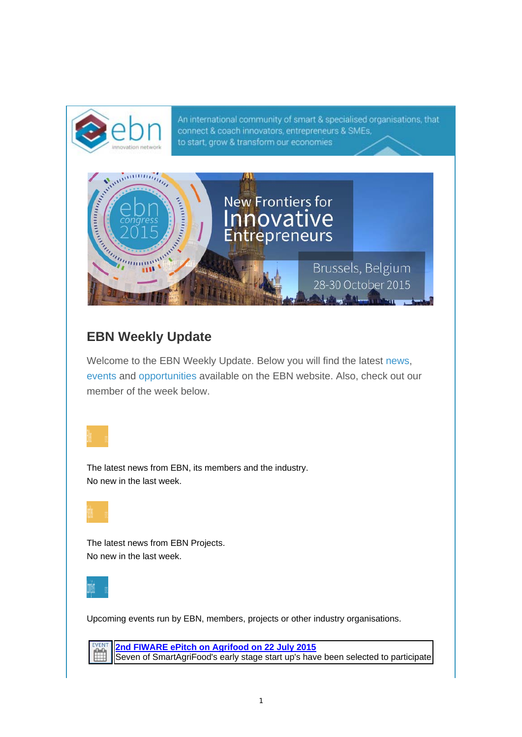An international community of smart & specialised organisations, that connect & coach innovators, entrepreneurs & SMEs, Congress to start, grow & transform our economies New Frontiers for Manual Co novative **Entrepreneurs** Brussels, Belgium 28-30 October 2015

## **EBN Weekly Update**

Welcome to the EBN Weekly Update. Below you will find the latest news, events and opportunities available on the EBN website. Also, check out our member of the week below.

The latest news from EBN, its members and the industry. No new in the last week.

The latest news from EBN Projects. No new in the last week.



Upcoming events run by EBN, members, projects or other industry organisations.

**2nd FIWARE ePitch on Agrifood on 22 July 2015** m Seven of SmartAgriFood's early stage start up's have been selected to participate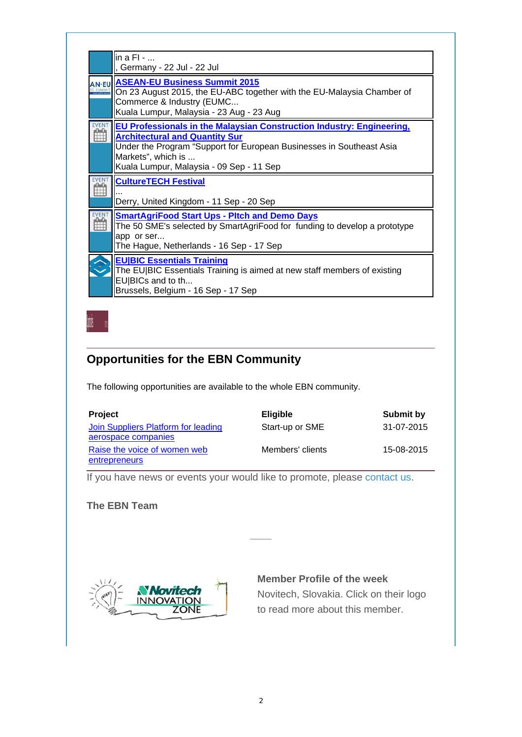|              | $\ln a$ FI - $\ldots$<br>, Germany - 22 Jul - 22 Jul                                                                                                                                                                                                     |
|--------------|----------------------------------------------------------------------------------------------------------------------------------------------------------------------------------------------------------------------------------------------------------|
| <b>AN-FU</b> | <b>ASEAN-EU Business Summit 2015</b><br>On 23 August 2015, the EU-ABC together with the EU-Malaysia Chamber of<br>Commerce & Industry (EUMC<br>Kuala Lumpur, Malaysia - 23 Aug - 23 Aug                                                                  |
|              | EU Professionals in the Malaysian Construction Industry: Engineering,<br><b>Architectural and Quantity Sur</b><br>Under the Program "Support for European Businesses in Southeast Asia<br>Markets", which is<br>Kuala Lumpur, Malaysia - 09 Sep - 11 Sep |
|              | <b>CultureTECH Festival</b><br>Derry, United Kingdom - 11 Sep - 20 Sep                                                                                                                                                                                   |
|              | <b>SmartAgriFood Start Ups - Pitch and Demo Days</b><br>The 50 SME's selected by SmartAgriFood for funding to develop a prototype<br>app or ser<br>The Hague, Netherlands - 16 Sep - 17 Sep                                                              |
|              | <b>EU BIC Essentials Training</b><br>The EU BIC Essentials Training is aimed at new staff members of existing<br>EU BICs and to th<br>Brussels, Belgium - 16 Sep - 17 Sep                                                                                |

## **Opportunities for the EBN Community**

The following opportunities are available to the whole EBN community.

| <b>Project</b>                                | <b>Eligible</b>  | Submit by  |
|-----------------------------------------------|------------------|------------|
| Join Suppliers Platform for leading           | Start-up or SME  | 31-07-2015 |
| aerospace companies                           |                  |            |
| Raise the voice of women web<br>entrepreneurs | Members' clients | 15-08-2015 |

If you have news or events your would like to promote, please contact us.

## **The EBN Team**



## **Member Profile of the week**

Novitech, Slovakia. Click on their logo to read more about this member.